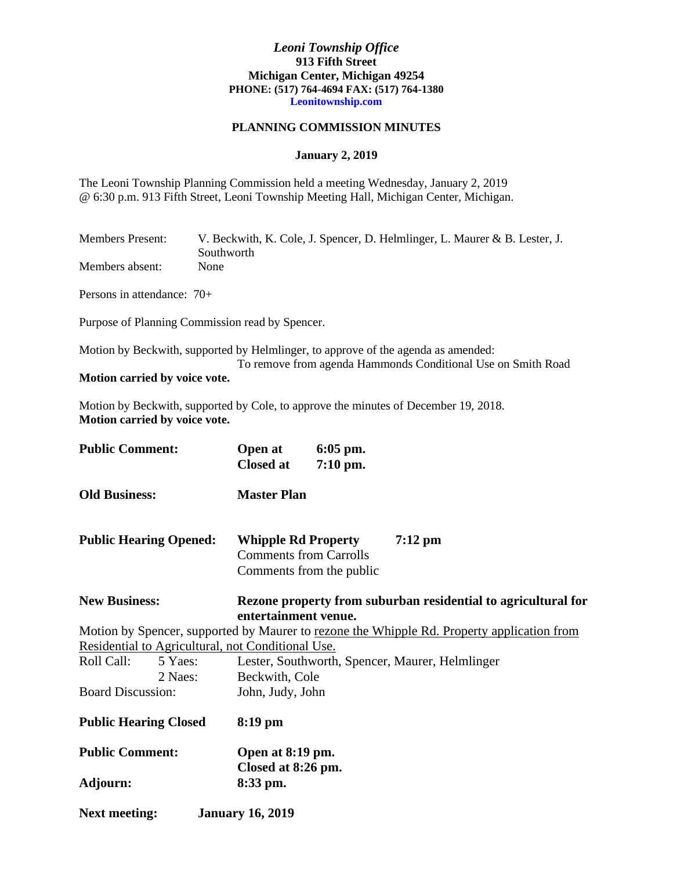## *Leoni Township Office* **913 Fifth Street Michigan Center, Michigan 49254 PHONE: (517) 764-4694 FAX: (517) 764-1380 Leonitownship.com**

## **PLANNING COMMISSION MINUTES**

## **January 2, 2019**

The Leoni Township Planning Commission held a meeting Wednesday, January 2, 2019 @ 6:30 p.m. 913 Fifth Street, Leoni Township Meeting Hall, Michigan Center, Michigan.

| <b>Members Present:</b> | V. Beckwith, K. Cole, J. Spencer, D. Helmlinger, L. Maurer & B. Lester, J. |
|-------------------------|----------------------------------------------------------------------------|
|                         | Southworth                                                                 |
| Members absent:         | None                                                                       |

Persons in attendance: 70+

Purpose of Planning Commission read by Spencer.

Motion by Beckwith, supported by Helmlinger, to approve of the agenda as amended: To remove from agenda Hammonds Conditional Use on Smith Road **Motion carried by voice vote.**

Motion by Beckwith, supported by Cole, to approve the minutes of December 19, 2018. **Motion carried by voice vote.**

| <b>Public Comment:</b>        |         | Open at<br><b>Closed at</b>                                                           | $6:05$ pm.<br>7:10 pm.                                    |                                                                                            |  |
|-------------------------------|---------|---------------------------------------------------------------------------------------|-----------------------------------------------------------|--------------------------------------------------------------------------------------------|--|
| <b>Old Business:</b>          |         | <b>Master Plan</b>                                                                    |                                                           |                                                                                            |  |
| <b>Public Hearing Opened:</b> |         | <b>Whipple Rd Property</b>                                                            | <b>Comments from Carrolls</b><br>Comments from the public | $7:12 \text{ pm}$                                                                          |  |
| <b>New Business:</b>          |         | Rezone property from suburban residential to agricultural for<br>entertainment venue. |                                                           |                                                                                            |  |
|                               |         |                                                                                       |                                                           | Motion by Spencer, supported by Maurer to rezone the Whipple Rd. Property application from |  |
|                               |         | Residential to Agricultural, not Conditional Use.                                     |                                                           |                                                                                            |  |
| Roll Call:                    | 5 Yaes: |                                                                                       |                                                           | Lester, Southworth, Spencer, Maurer, Helmlinger                                            |  |
|                               | 2 Naes: | Beckwith, Cole                                                                        |                                                           |                                                                                            |  |
| <b>Board Discussion:</b>      |         | John, Judy, John                                                                      |                                                           |                                                                                            |  |
| <b>Public Hearing Closed</b>  |         | $8:19$ pm                                                                             |                                                           |                                                                                            |  |
| <b>Public Comment:</b>        |         | Open at 8:19 pm.<br>Closed at 8:26 pm.                                                |                                                           |                                                                                            |  |
| Adjourn:                      |         | 8:33 pm.                                                                              |                                                           |                                                                                            |  |
| <b>Next meeting:</b>          |         | <b>January 16, 2019</b>                                                               |                                                           |                                                                                            |  |